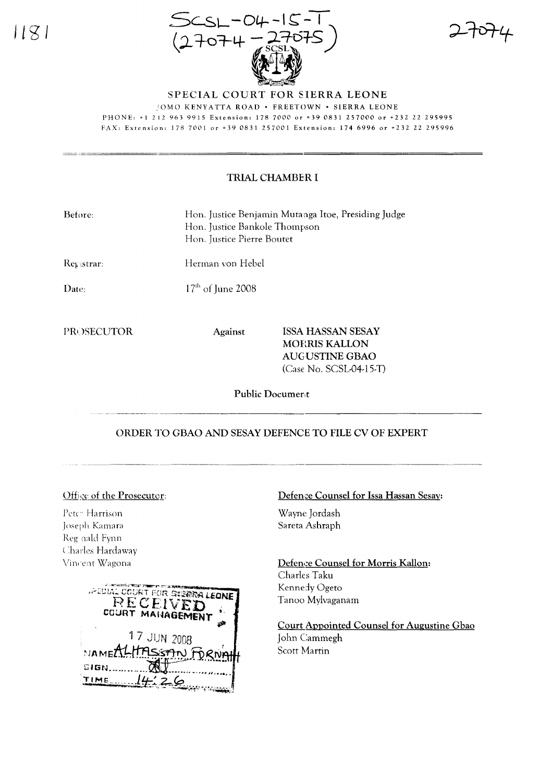1181



SPECIAL COURT FOR SIERRA LEONE

.'OMO KENYATTA ROAD· FREETOWN· SIERRA LEONE

PHONE: +1 212 963 9915 Extension: 178 7000 or +39 0831257000 or +232 22 295995

FAX: Extension: 178 7001 or +39 0831257001 Extension: 1746996 or +232 22 295996

## TRIAL CHAMBER I

| Before:           |                     | Hon. Justice Benjamin Mutanga Itoe, Presiding Judge<br>Hon. Justice Bankole Thompson<br>Hon. Justice Pierre Boutet |  |  |
|-------------------|---------------------|--------------------------------------------------------------------------------------------------------------------|--|--|
| Registrar:        |                     | Herman von Hebel                                                                                                   |  |  |
| Date:             | $17th$ of June 2008 |                                                                                                                    |  |  |
| <b>PROSECUTOR</b> | <b>Against</b>      | ISSA HASSAN SESAY<br><b>MORRIS KALLON</b>                                                                          |  |  |
|                   |                     | AUGUSTINE GBAO<br>$(Case No. SCSL04-15-T)$                                                                         |  |  |

Public Document

#### ORDER TO GBAO AND SESAY DEFENCE TO FILE CV OF EXPERT

# Office of the Prosecutor:

Petc: Harrison Joseph Kamara Reg nald Fynn Charles Hardaway Vincent Wagona

| JPECIAL COURT POR SNERRA LEONI<br>RECEIVED<br>COURT MANAGEMENT |  |
|----------------------------------------------------------------|--|
| 17 JUN 2008<br>NAMEALHASSAN FORNAH<br>SIGN<br>14:26            |  |

### Defence Counsel for Issa Hassan Sesay:

Wayne Jordash Sareta Ashraph

Defence Counsel for Morris Kallon: Charles Taku Kennedy Ogeto Tanoo Mylvaganam

Court Appointed Counsel for Augustine Gbao John Cammegh Scott Martin